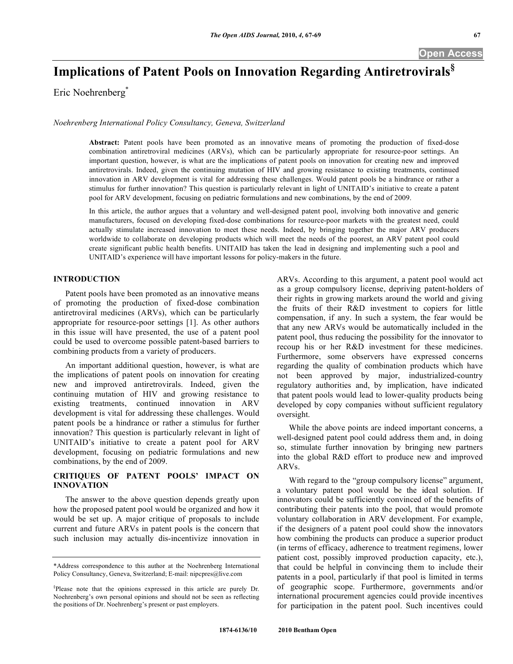# **Implications of Patent Pools on Innovation Regarding Antiretrovirals§**

Eric Noehrenberg\*

*Noehrenberg International Policy Consultancy, Geneva, Switzerland*

**Abstract:** Patent pools have been promoted as an innovative means of promoting the production of fixed-dose combination antiretroviral medicines (ARVs), which can be particularly appropriate for resource-poor settings. An important question, however, is what are the implications of patent pools on innovation for creating new and improved antiretrovirals. Indeed, given the continuing mutation of HIV and growing resistance to existing treatments, continued innovation in ARV development is vital for addressing these challenges. Would patent pools be a hindrance or rather a stimulus for further innovation? This question is particularly relevant in light of UNITAID's initiative to create a patent pool for ARV development, focusing on pediatric formulations and new combinations, by the end of 2009.

In this article, the author argues that a voluntary and well-designed patent pool, involving both innovative and generic manufacturers, focused on developing fixed-dose combinations for resource-poor markets with the greatest need, could actually stimulate increased innovation to meet these needs. Indeed, by bringing together the major ARV producers worldwide to collaborate on developing products which will meet the needs of the poorest, an ARV patent pool could create significant public health benefits. UNITAID has taken the lead in designing and implementing such a pool and UNITAID's experience will have important lessons for policy-makers in the future.

## **INTRODUCTION**

 Patent pools have been promoted as an innovative means of promoting the production of fixed-dose combination antiretroviral medicines (ARVs), which can be particularly appropriate for resource-poor settings [1]. As other authors in this issue will have presented, the use of a patent pool could be used to overcome possible patent-based barriers to combining products from a variety of producers.

 An important additional question, however, is what are the implications of patent pools on innovation for creating new and improved antiretrovirals. Indeed, given the continuing mutation of HIV and growing resistance to existing treatments, continued innovation in ARV development is vital for addressing these challenges. Would patent pools be a hindrance or rather a stimulus for further innovation? This question is particularly relevant in light of UNITAID's initiative to create a patent pool for ARV development, focusing on pediatric formulations and new combinations, by the end of 2009.

# **CRITIQUES OF PATENT POOLS' IMPACT ON INNOVATION**

 The answer to the above question depends greatly upon how the proposed patent pool would be organized and how it would be set up. A major critique of proposals to include current and future ARVs in patent pools is the concern that such inclusion may actually dis-incentivize innovation in

ARVs. According to this argument, a patent pool would act as a group compulsory license, depriving patent-holders of their rights in growing markets around the world and giving the fruits of their R&D investment to copiers for little compensation, if any. In such a system, the fear would be that any new ARVs would be automatically included in the patent pool, thus reducing the possibility for the innovator to recoup his or her R&D investment for these medicines. Furthermore, some observers have expressed concerns regarding the quality of combination products which have not been approved by major, industrialized-country regulatory authorities and, by implication, have indicated that patent pools would lead to lower-quality products being developed by copy companies without sufficient regulatory oversight.

 While the above points are indeed important concerns, a well-designed patent pool could address them and, in doing so, stimulate further innovation by bringing new partners into the global R&D effort to produce new and improved ARVs.

With regard to the "group compulsory license" argument, a voluntary patent pool would be the ideal solution. If innovators could be sufficiently convinced of the benefits of contributing their patents into the pool, that would promote voluntary collaboration in ARV development. For example, if the designers of a patent pool could show the innovators how combining the products can produce a superior product (in terms of efficacy, adherence to treatment regimens, lower patient cost, possibly improved production capacity, etc.), that could be helpful in convincing them to include their patents in a pool, particularly if that pool is limited in terms of geographic scope. Furthermore, governments and/or international procurement agencies could provide incentives for participation in the patent pool. Such incentives could

<sup>\*</sup>Address correspondence to this author at the Noehrenberg International Policy Consultancy, Geneva, Switzerland; E-mail: nipcpres@live.com

<sup>§</sup> Please note that the opinions expressed in this article are purely Dr. Noehrenberg's own personal opinions and should not be seen as reflecting the positions of Dr. Noehrenberg's present or past employers.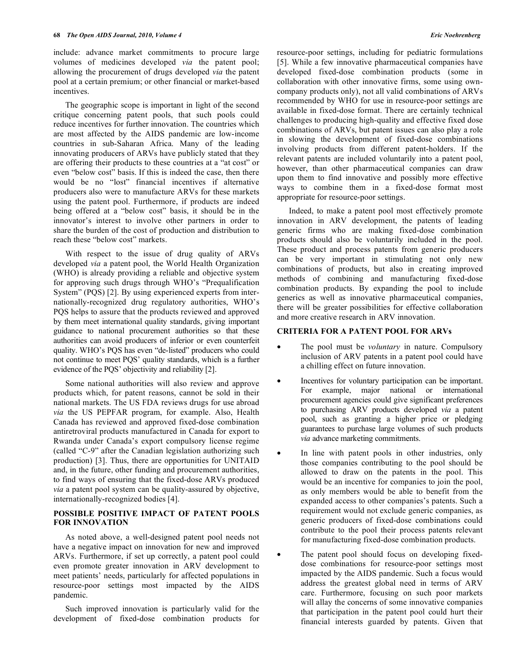include: advance market commitments to procure large volumes of medicines developed *via* the patent pool; allowing the procurement of drugs developed *via* the patent pool at a certain premium; or other financial or market-based incentives.

 The geographic scope is important in light of the second critique concerning patent pools, that such pools could reduce incentives for further innovation. The countries which are most affected by the AIDS pandemic are low-income countries in sub-Saharan Africa. Many of the leading innovating producers of ARVs have publicly stated that they are offering their products to these countries at a "at cost" or even "below cost" basis. If this is indeed the case, then there would be no "lost" financial incentives if alternative producers also were to manufacture ARVs for these markets using the patent pool. Furthermore, if products are indeed being offered at a "below cost" basis, it should be in the innovator's interest to involve other partners in order to share the burden of the cost of production and distribution to reach these "below cost" markets.

 With respect to the issue of drug quality of ARVs developed *via* a patent pool, the World Health Organization (WHO) is already providing a reliable and objective system for approving such drugs through WHO's "Prequalification System" (PQS) [2]. By using experienced experts from internationally-recognized drug regulatory authorities, WHO's PQS helps to assure that the products reviewed and approved by them meet international quality standards, giving important guidance to national procurement authorities so that these authorities can avoid producers of inferior or even counterfeit quality. WHO's PQS has even "de-listed" producers who could not continue to meet PQS' quality standards, which is a further evidence of the PQS' objectivity and reliability [2].

 Some national authorities will also review and approve products which, for patent reasons, cannot be sold in their national markets. The US FDA reviews drugs for use abroad *via* the US PEPFAR program, for example. Also, Health Canada has reviewed and approved fixed-dose combination antiretroviral products manufactured in Canada for export to Rwanda under Canada's export compulsory license regime (called "C-9" after the Canadian legislation authorizing such production) [3]. Thus, there are opportunities for UNITAID and, in the future, other funding and procurement authorities, to find ways of ensuring that the fixed-dose ARVs produced *via* a patent pool system can be quality-assured by objective, internationally-recognized bodies [4].

#### **POSSIBLE POSITIVE IMPACT OF PATENT POOLS FOR INNOVATION**

 As noted above, a well-designed patent pool needs not have a negative impact on innovation for new and improved ARVs. Furthermore, if set up correctly, a patent pool could even promote greater innovation in ARV development to meet patients' needs, particularly for affected populations in resource-poor settings most impacted by the AIDS pandemic.

 Such improved innovation is particularly valid for the development of fixed-dose combination products for resource-poor settings, including for pediatric formulations [5]. While a few innovative pharmaceutical companies have developed fixed-dose combination products (some in collaboration with other innovative firms, some using owncompany products only), not all valid combinations of ARVs recommended by WHO for use in resource-poor settings are available in fixed-dose format. There are certainly technical challenges to producing high-quality and effective fixed dose combinations of ARVs, but patent issues can also play a role in slowing the development of fixed-dose combinations involving products from different patent-holders. If the relevant patents are included voluntarily into a patent pool, however, than other pharmaceutical companies can draw upon them to find innovative and possibly more effective ways to combine them in a fixed-dose format most appropriate for resource-poor settings.

 Indeed, to make a patent pool most effectively promote innovation in ARV development, the patents of leading generic firms who are making fixed-dose combination products should also be voluntarily included in the pool. These product and process patents from generic producers can be very important in stimulating not only new combinations of products, but also in creating improved methods of combining and manufacturing fixed-dose combination products. By expanding the pool to include generics as well as innovative pharmaceutical companies, there will be greater possibilities for effective collaboration and more creative research in ARV innovation.

## **CRITERIA FOR A PATENT POOL FOR ARVs**

- The pool must be *voluntary* in nature. Compulsory inclusion of ARV patents in a patent pool could have a chilling effect on future innovation.
- Incentives for voluntary participation can be important. For example, major national or international procurement agencies could give significant preferences to purchasing ARV products developed *via* a patent pool, such as granting a higher price or pledging guarantees to purchase large volumes of such products *via* advance marketing commitments.
- In line with patent pools in other industries, only those companies contributing to the pool should be allowed to draw on the patents in the pool. This would be an incentive for companies to join the pool, as only members would be able to benefit from the expanded access to other companies's patents. Such a requirement would not exclude generic companies, as generic producers of fixed-dose combinations could contribute to the pool their process patents relevant for manufacturing fixed-dose combination products.
- The patent pool should focus on developing fixeddose combinations for resource-poor settings most impacted by the AIDS pandemic. Such a focus would address the greatest global need in terms of ARV care. Furthermore, focusing on such poor markets will allay the concerns of some innovative companies that participation in the patent pool could hurt their financial interests guarded by patents. Given that